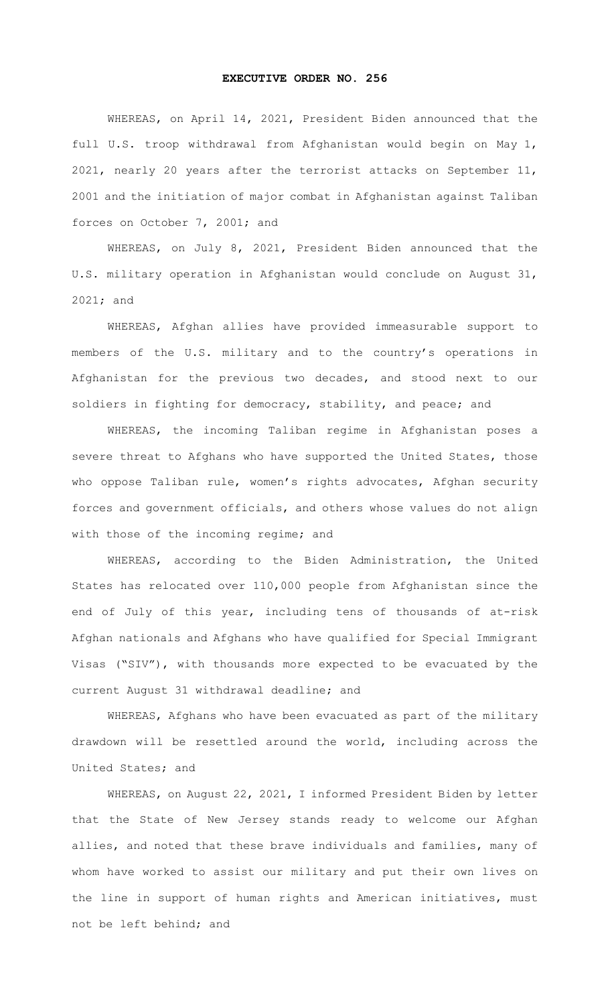## **EXECUTIVE ORDER NO. 256**

 WHEREAS, on April 14, 2021, President Biden announced that the full U.S. troop withdrawal from Afghanistan would begin on May 1, 2021, nearly 20 years after the terrorist attacks on September 11, 2001 and the initiation of major combat in Afghanistan against Taliban forces on October 7, 2001; and

WHEREAS, on July 8, 2021, President Biden announced that the U.S. military operation in Afghanistan would conclude on August 31, 2021; and

WHEREAS, Afghan allies have provided immeasurable support to members of the U.S. military and to the country's operations in Afghanistan for the previous two decades, and stood next to our soldiers in fighting for democracy, stability, and peace; and

WHEREAS, the incoming Taliban regime in Afghanistan poses a severe threat to Afghans who have supported the United States, those who oppose Taliban rule, women's rights advocates, Afghan security forces and government officials, and others whose values do not align with those of the incoming regime; and

WHEREAS, according to the Biden Administration, the United States has relocated over 110,000 people from Afghanistan since the end of July of this year, including tens of thousands of at-risk Afghan nationals and Afghans who have qualified for Special Immigrant Visas ("SIV"), with thousands more expected to be evacuated by the current August 31 withdrawal deadline; and

WHEREAS, Afghans who have been evacuated as part of the military drawdown will be resettled around the world, including across the United States; and

WHEREAS, on August 22, 2021, I informed President Biden by letter that the State of New Jersey stands ready to welcome our Afghan allies, and noted that these brave individuals and families, many of whom have worked to assist our military and put their own lives on the line in support of human rights and American initiatives, must not be left behind; and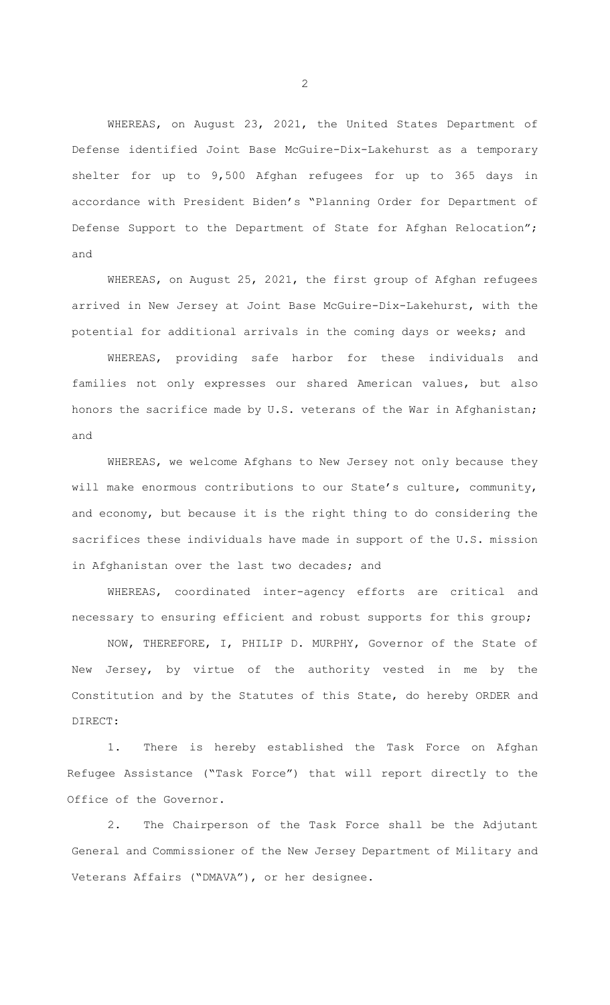WHEREAS, on August 23, 2021, the United States Department of Defense identified Joint Base McGuire-Dix-Lakehurst as a temporary shelter for up to 9,500 Afghan refugees for up to 365 days in accordance with President Biden's "Planning Order for Department of Defense Support to the Department of State for Afghan Relocation"; and

WHEREAS, on August 25, 2021, the first group of Afghan refugees arrived in New Jersey at Joint Base McGuire-Dix-Lakehurst, with the potential for additional arrivals in the coming days or weeks; and

WHEREAS, providing safe harbor for these individuals and families not only expresses our shared American values, but also honors the sacrifice made by U.S. veterans of the War in Afghanistan; and

WHEREAS, we welcome Afghans to New Jersey not only because they will make enormous contributions to our State's culture, community, and economy, but because it is the right thing to do considering the sacrifices these individuals have made in support of the U.S. mission in Afghanistan over the last two decades; and

WHEREAS, coordinated inter-agency efforts are critical and necessary to ensuring efficient and robust supports for this group;

 NOW, THEREFORE, I, PHILIP D. MURPHY, Governor of the State of New Jersey, by virtue of the authority vested in me by the Constitution and by the Statutes of this State, do hereby ORDER and DIRECT:

There is hereby established the Task Force on Afghan Refugee Assistance ("Task Force") that will report directly to the Office of the Governor.

2. The Chairperson of the Task Force shall be the Adjutant General and Commissioner of the New Jersey Department of Military and Veterans Affairs ("DMAVA"), or her designee.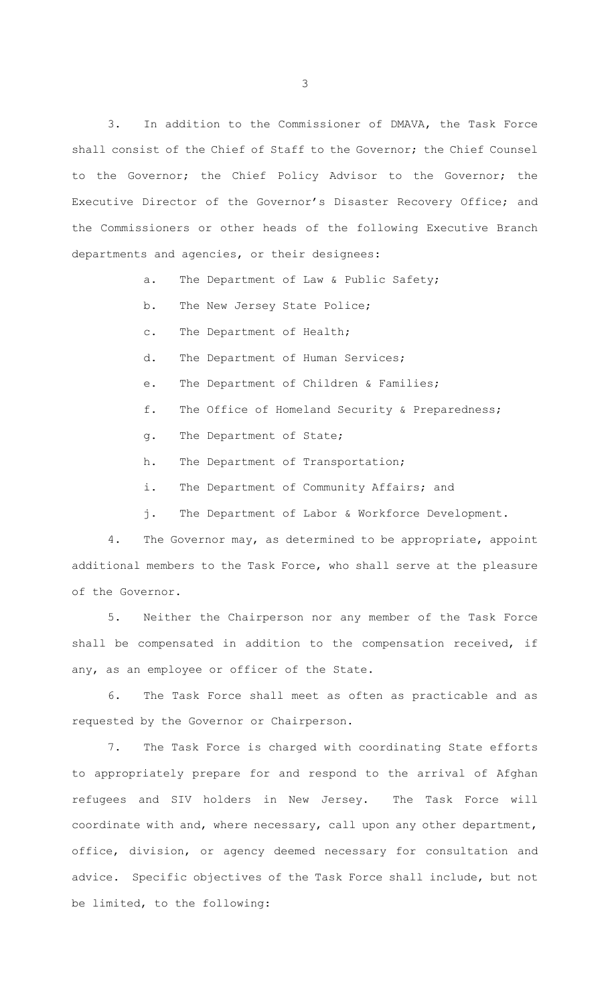3. In addition to the Commissioner of DMAVA, the Task Force shall consist of the Chief of Staff to the Governor; the Chief Counsel to the Governor; the Chief Policy Advisor to the Governor; the Executive Director of the Governor's Disaster Recovery Office; and the Commissioners or other heads of the following Executive Branch departments and agencies, or their designees:

- a. The Department of Law & Public Safety;
- b. The New Jersey State Police;
- c. The Department of Health;
- d. The Department of Human Services;
- e. The Department of Children & Families;
- f. The Office of Homeland Security & Preparedness;
- g. The Department of State;
- h. The Department of Transportation;
- i. The Department of Community Affairs; and
- j. The Department of Labor & Workforce Development.

4. The Governor may, as determined to be appropriate, appoint additional members to the Task Force, who shall serve at the pleasure of the Governor.

5. Neither the Chairperson nor any member of the Task Force shall be compensated in addition to the compensation received, if any, as an employee or officer of the State.

6. The Task Force shall meet as often as practicable and as requested by the Governor or Chairperson.

7. The Task Force is charged with coordinating State efforts to appropriately prepare for and respond to the arrival of Afghan refugees and SIV holders in New Jersey. The Task Force will coordinate with and, where necessary, call upon any other department, office, division, or agency deemed necessary for consultation and advice. Specific objectives of the Task Force shall include, but not be limited, to the following: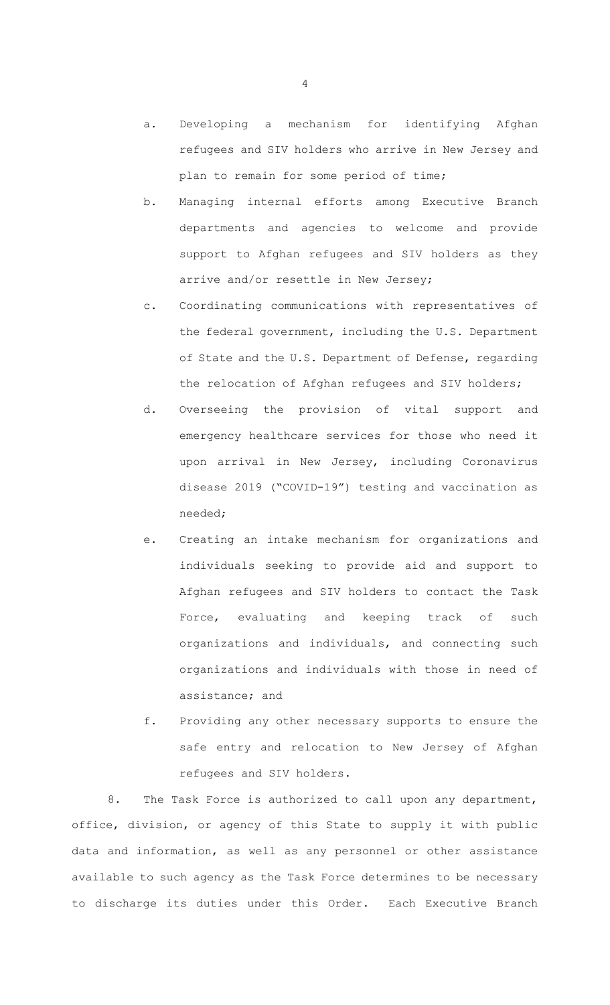- a. Developing a mechanism for identifying Afghan refugees and SIV holders who arrive in New Jersey and plan to remain for some period of time;
- b. Managing internal efforts among Executive Branch departments and agencies to welcome and provide support to Afghan refugees and SIV holders as they arrive and/or resettle in New Jersey;
- c. Coordinating communications with representatives of the federal government, including the U.S. Department of State and the U.S. Department of Defense, regarding the relocation of Afghan refugees and SIV holders;
- d. Overseeing the provision of vital support and emergency healthcare services for those who need it upon arrival in New Jersey, including Coronavirus disease 2019 ("COVID-19") testing and vaccination as needed;
- e. Creating an intake mechanism for organizations and individuals seeking to provide aid and support to Afghan refugees and SIV holders to contact the Task Force, evaluating and keeping track of such organizations and individuals, and connecting such organizations and individuals with those in need of assistance; and
- f. Providing any other necessary supports to ensure the safe entry and relocation to New Jersey of Afghan refugees and SIV holders.

8. The Task Force is authorized to call upon any department, office, division, or agency of this State to supply it with public data and information, as well as any personnel or other assistance available to such agency as the Task Force determines to be necessary to discharge its duties under this Order. Each Executive Branch